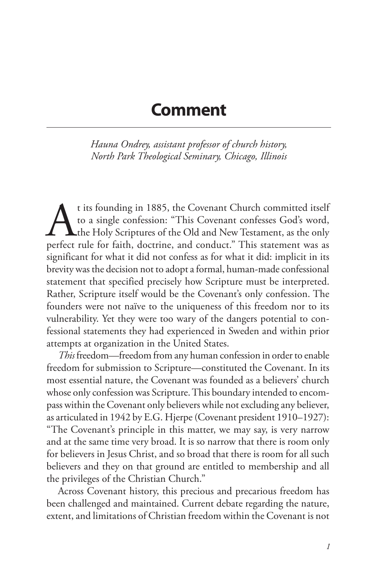## **Comment**

*Hauna Ondrey, assistant professor of church history, North Park Theological Seminary, Chicago, Illinois*

t its founding in 1885, the Covenant Church committed itself to a single confession: "This Covenant confesses God's word, the Holy Scriptures of the Old and New Testament, as the only perfect rule for faith, doctrine, and conduct." This statement was as significant for what it did not confess as for what it did: implicit in its brevity was the decision not to adopt a formal, human-made confessional statement that specified precisely how Scripture must be interpreted. Rather, Scripture itself would be the Covenant's only confession. The founders were not naïve to the uniqueness of this freedom nor to its vulnerability. Yet they were too wary of the dangers potential to confessional statements they had experienced in Sweden and within prior attempts at organization in the United States.

*This* freedom—freedom from any human confession in order to enable freedom for submission to Scripture—constituted the Covenant. In its most essential nature, the Covenant was founded as a believers' church whose only confession was Scripture. This boundary intended to encompass within the Covenant only believers while not excluding any believer, as articulated in 1942 by E.G. Hjerpe (Covenant president 1910–1927): "The Covenant's principle in this matter, we may say, is very narrow and at the same time very broad. It is so narrow that there is room only for believers in Jesus Christ, and so broad that there is room for all such believers and they on that ground are entitled to membership and all the privileges of the Christian Church."

Across Covenant history, this precious and precarious freedom has been challenged and maintained. Current debate regarding the nature, extent, and limitations of Christian freedom within the Covenant is not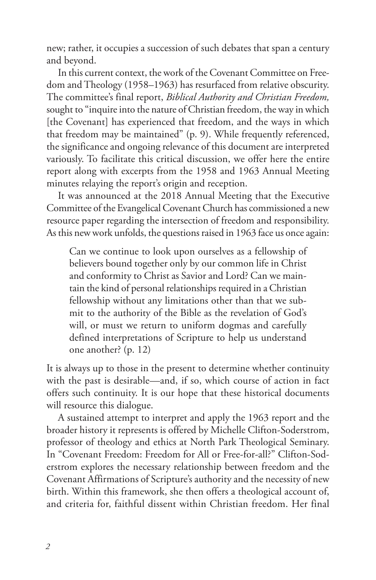new; rather, it occupies a succession of such debates that span a century and beyond.

In this current context, the work of the Covenant Committee on Freedom and Theology (1958–1963) has resurfaced from relative obscurity. The committee's final report, *Biblical Authority and Christian Freedom,*  sought to "inquire into the nature of Christian freedom, the way in which [the Covenant] has experienced that freedom, and the ways in which that freedom may be maintained" (p. 9). While frequently referenced, the significance and ongoing relevance of this document are interpreted variously. To facilitate this critical discussion, we offer here the entire report along with excerpts from the 1958 and 1963 Annual Meeting minutes relaying the report's origin and reception.

It was announced at the 2018 Annual Meeting that the Executive Committee of the Evangelical Covenant Church has commissioned a new resource paper regarding the intersection of freedom and responsibility. As this new work unfolds, the questions raised in 1963 face us once again:

Can we continue to look upon ourselves as a fellowship of believers bound together only by our common life in Christ and conformity to Christ as Savior and Lord? Can we maintain the kind of personal relationships required in a Christian fellowship without any limitations other than that we submit to the authority of the Bible as the revelation of God's will, or must we return to uniform dogmas and carefully defined interpretations of Scripture to help us understand one another? (p. 12)

It is always up to those in the present to determine whether continuity with the past is desirable—and, if so, which course of action in fact offers such continuity. It is our hope that these historical documents will resource this dialogue.

A sustained attempt to interpret and apply the 1963 report and the broader history it represents is offered by Michelle Clifton-Soderstrom, professor of theology and ethics at North Park Theological Seminary. In "Covenant Freedom: Freedom for All or Free-for-all?" Clifton-Soderstrom explores the necessary relationship between freedom and the Covenant Affirmations of Scripture's authority and the necessity of new birth. Within this framework, she then offers a theological account of, and criteria for, faithful dissent within Christian freedom. Her final